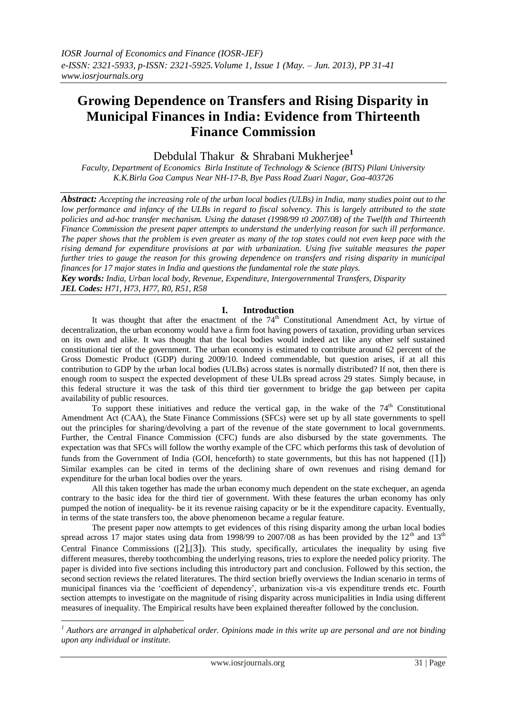# **Growing Dependence on Transfers and Rising Disparity in Municipal Finances in India: Evidence from Thirteenth Finance Commission**

Debdulal Thakur & Shrabani Mukherjee**<sup>1</sup>**

*Faculty, Department of Economics Birla Institute of Technology & Science (BITS) Pilani University K.K.Birla Goa Campus Near NH-17-B, Bye Pass Road Zuari Nagar, Goa-403726*

*Abstract: Accepting the increasing role of the urban local bodies (ULBs) in India, many studies point out to the low performance and infancy of the ULBs in regard to fiscal solvency. This is largely attributed to the state policies and ad-hoc transfer mechanism. Using the dataset (1998/99 t0 2007/08) of the Twelfth and Thirteenth Finance Commission the present paper attempts to understand the underlying reason for such ill performance. The paper shows that the problem is even greater as many of the top states could not even keep pace with the rising demand for expenditure provisions at par with urbanization. Using five suitable measures the paper further tries to gauge the reason for this growing dependence on transfers and rising disparity in municipal finances for 17 major states in India and questions the fundamental role the state plays.*

*Key words: India, Urban local body, Revenue, Expenditure, Intergovernmental Transfers, Disparity JEL Codes: H71, H73, H77, R0, R51, R58*

### **I. Introduction**

It was thought that after the enactment of the  $74<sup>th</sup>$  Constitutional Amendment Act, by virtue of decentralization, the urban economy would have a firm foot having powers of taxation, providing urban services on its own and alike. It was thought that the local bodies would indeed act like any other self sustained constitutional tier of the government. The urban economy is estimated to contribute around 62 percent of the Gross Domestic Product (GDP) during 2009/10. Indeed commendable, but question arises, if at all this contribution to GDP by the urban local bodies (ULBs) across states is normally distributed? If not, then there is enough room to suspect the expected development of these ULBs spread across 29 states. Simply because, in this federal structure it was the task of this third tier government to bridge the gap between per capita availability of public resources.

To support these initiatives and reduce the vertical gap, in the wake of the  $74<sup>th</sup>$  Constitutional Amendment Act (CAA), the State Finance Commissions (SFCs) were set up by all state governments to spell out the principles for sharing/devolving a part of the revenue of the state government to local governments. Further, the Central Finance Commission (CFC) funds are also disbursed by the state governments. The expectation was that SFCs will follow the worthy example of the CFC which performs this task of devolution of funds from the Government of India (GOI, henceforth) to state governments, but this has not happened ([[1\]](#page-9-0)) Similar examples can be cited in terms of the declining share of own revenues and rising demand for expenditure for the urban local bodies over the years.

All this taken together has made the urban economy much dependent on the state exchequer, an agenda contrary to the basic idea for the third tier of government. With these features the urban economy has only pumped the notion of inequality- be it its revenue raising capacity or be it the expenditure capacity. Eventually, in terms of the state transfers too, the above phenomenon became a regular feature.

The present paper now attempts to get evidences of this rising disparity among the urban local bodies spread across 17 major states using data from 1998/99 to 2007/08 as has been provided by the  $12<sup>th</sup>$  and  $13<sup>th</sup>$ Central Finance Commissions ([[2\]](#page-9-1),[[3\]](#page-9-2)). This study, specifically, articulates the inequality by using five different measures, thereby toothcombing the underlying reasons, tries to explore the needed policy priority. The paper is divided into five sections including this introductory part and conclusion. Followed by this section, the second section reviews the related literatures. The third section briefly overviews the Indian scenario in terms of municipal finances via the 'coefficient of dependency', urbanization vis-a vis expenditure trends etc. Fourth section attempts to investigate on the magnitude of rising disparity across municipalities in India using different measures of inequality. The Empirical results have been explained thereafter followed by the conclusion.

1

*<sup>1</sup> Authors are arranged in alphabetical order. Opinions made in this write up are personal and are not binding upon any individual or institute.*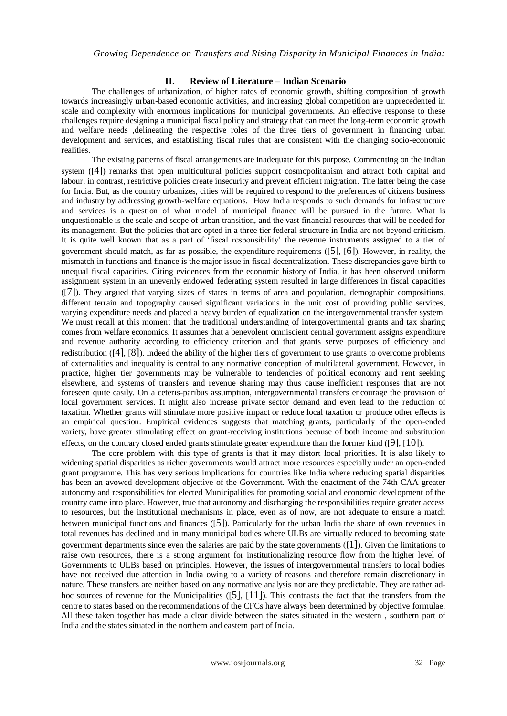## **II. Review of Literature – Indian Scenario**

The challenges of urbanization, of higher rates of economic growth, shifting composition of growth towards increasingly urban-based economic activities, and increasing global competition are unprecedented in scale and complexity with enormous implications for municipal governments. An effective response to these challenges require designing a municipal fiscal policy and strategy that can meet the long-term economic growth and welfare needs ,delineating the respective roles of the three tiers of government in financing urban development and services, and establishing fiscal rules that are consistent with the changing socio-economic realities.

The existing patterns of fiscal arrangements are inadequate for this purpose. Commenting on the Indian system ([[4\]](#page-9-3)) remarks that open multicultural policies support cosmopolitanism and attract both capital and labour, in contrast, restrictive policies create insecurity and prevent efficient migration. The latter being the case for India. But, as the country urbanizes, cities will be required to respond to the preferences of citizens business and industry by addressing growth-welfare equations. How India responds to such demands for infrastructure and services is a question of what model of municipal finance will be pursued in the future. What is unquestionable is the scale and scope of urban transition, and the vast financial resources that will be needed for its management. But the policies that are opted in a three tier federal structure in India are not beyond criticism. It is quite well known that as a part of 'fiscal responsibility' the revenue instruments assigned to a tier of government should match, as far as possible, the expenditure requirements ([[5\]](#page-9-4), [[6\]](#page-9-5)). However, in reality, the mismatch in functions and finance is the major issue in fiscal decentralization. These discrepancies gave birth to unequal fiscal capacities. Citing evidences from the economic history of India, it has been observed uniform assignment system in an unevenly endowed federating system resulted in large differences in fiscal capacities ([[7\]](#page-9-6)). They argued that varying sizes of states in terms of area and population, demographic compositions, different terrain and topography caused significant variations in the unit cost of providing public services, varying expenditure needs and placed a heavy burden of equalization on the intergovernmental transfer system. We must recall at this moment that the traditional understanding of intergovernmental grants and tax sharing comes from welfare economics. It assumes that a benevolent omniscient central government assigns expenditure and revenue authority according to efficiency criterion and that grants serve purposes of efficiency and redistribution ([[4\]](#page-9-3), [[8\]](#page-9-7)). Indeed the ability of the higher tiers of government to use grants to overcome problems of externalities and inequality is central to any normative conception of multilateral government. However, in practice, higher tier governments may be vulnerable to tendencies of political economy and rent seeking elsewhere, and systems of transfers and revenue sharing may thus cause inefficient responses that are not foreseen quite easily. On a ceteris-paribus assumption, intergovernmental transfers encourage the provision of local government services. It might also increase private sector demand and even lead to the reduction of taxation. Whether grants will stimulate more positive impact or reduce local taxation or produce other effects is an empirical question. Empirical evidences suggests that matching grants, particularly of the open-ended variety, have greater stimulating effect on grant-receiving institutions because of both income and substitution effects, on the contrary closed ended grants stimulate greater expenditure than the former kind ([[9\]](#page-9-8), [[10\]](#page-9-9)).

The core problem with this type of grants is that it may distort local priorities. It is also likely to widening spatial disparities as richer governments would attract more resources especially under an open-ended grant programme. This has very serious implications for countries like India where reducing spatial disparities has been an avowed development objective of the Government. With the enactment of the 74th CAA greater autonomy and responsibilities for elected Municipalities for promoting social and economic development of the country came into place. However, true that autonomy and discharging the responsibilities require greater access to resources, but the institutional mechanisms in place, even as of now, are not adequate to ensure a match between municipal functions and finances ([[5\]](#page-9-4)). Particularly for the urban India the share of own revenues in total revenues has declined and in many municipal bodies where ULBs are virtually reduced to becoming state government departments since even the salaries are paid by the state governments ([[1\]](#page-9-0)). Given the limitations to raise own resources, there is a strong argument for institutionalizing resource flow from the higher level of Governments to ULBs based on principles. However, the issues of intergovernmental transfers to local bodies have not received due attention in India owing to a variety of reasons and therefore remain discretionary in nature. These transfers are neither based on any normative analysis nor are they predictable. They are rather adhoc sources of revenue for the Municipalities  $([5], [11])$  $([5], [11])$  $([5], [11])$  $([5], [11])$  $([5], [11])$ . This contrasts the fact that the transfers from the centre to states based on the recommendations of the CFCs have always been determined by objective formulae. All these taken together has made a clear divide between the states situated in the western , southern part of India and the states situated in the northern and eastern part of India.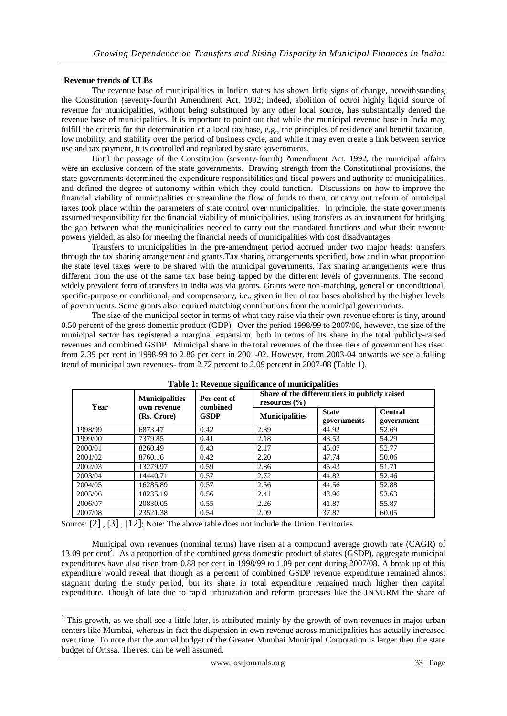#### **Revenue trends of ULBs**

<u>.</u>

The revenue base of municipalities in Indian states has shown little signs of change, notwithstanding the Constitution (seventy-fourth) Amendment Act, 1992; indeed, abolition of octroi highly liquid source of revenue for municipalities, without being substituted by any other local source, has substantially dented the revenue base of municipalities. It is important to point out that while the municipal revenue base in India may fulfill the criteria for the determination of a local tax base, e.g., the principles of residence and benefit taxation, low mobility, and stability over the period of business cycle, and while it may even create a link between service use and tax payment, it is controlled and regulated by state governments.

Until the passage of the Constitution (seventy-fourth) Amendment Act, 1992, the municipal affairs were an exclusive concern of the state governments. Drawing strength from the Constitutional provisions, the state governments determined the expenditure responsibilities and fiscal powers and authority of municipalities, and defined the degree of autonomy within which they could function. Discussions on how to improve the financial viability of municipalities or streamline the flow of funds to them, or carry out reform of municipal taxes took place within the parameters of state control over municipalities. In principle, the state governments assumed responsibility for the financial viability of municipalities, using transfers as an instrument for bridging the gap between what the municipalities needed to carry out the mandated functions and what their revenue powers yielded, as also for meeting the financial needs of municipalities with cost disadvantages.

Transfers to municipalities in the pre-amendment period accrued under two major heads: transfers through the tax sharing arrangement and grants.Tax sharing arrangements specified, how and in what proportion the state level taxes were to be shared with the municipal governments. Tax sharing arrangements were thus different from the use of the same tax base being tapped by the different levels of governments. The second, widely prevalent form of transfers in India was via grants. Grants were non-matching, general or unconditional, specific-purpose or conditional, and compensatory, i.e., given in lieu of tax bases abolished by the higher levels of governments. Some grants also required matching contributions from the municipal governments.

The size of the municipal sector in terms of what they raise via their own revenue efforts is tiny, around 0.50 percent of the gross domestic product (GDP). Over the period 1998/99 to 2007/08, however, the size of the municipal sector has registered a marginal expansion, both in terms of its share in the total publicly-raised revenues and combined GSDP. Municipal share in the total revenues of the three tiers of government has risen from 2.39 per cent in 1998-99 to 2.86 per cent in 2001-02. However, from 2003-04 onwards we see a falling trend of municipal own revenues- from 2.72 percent to 2.09 percent in 2007-08 [\(Table 1\)](#page-2-0).

<span id="page-2-0"></span>

| Year    | <b>Municipalities</b><br>own revenue | Per cent of<br>combined | Share of the different tiers in publicly raised<br>resources $(\% )$ |                             |                              |  |
|---------|--------------------------------------|-------------------------|----------------------------------------------------------------------|-----------------------------|------------------------------|--|
|         | (Rs. Crore)                          | <b>GSDP</b>             | <b>Municipalities</b>                                                | <b>State</b><br>governments | <b>Central</b><br>government |  |
| 1998/99 | 6873.47                              | 0.42                    | 2.39                                                                 | 44.92                       | 52.69                        |  |
| 1999/00 | 7379.85                              | 0.41                    | 2.18                                                                 | 43.53                       | 54.29                        |  |
| 2000/01 | 8260.49                              | 0.43                    | 2.17                                                                 | 45.07                       | 52.77                        |  |
| 2001/02 | 8760.16                              | 0.42                    | 2.20                                                                 | 47.74                       | 50.06                        |  |
| 2002/03 | 13279.97                             | 0.59                    | 2.86                                                                 | 45.43                       | 51.71                        |  |
| 2003/04 | 14440.71                             | 0.57                    | 2.72                                                                 | 44.82                       | 52.46                        |  |
| 2004/05 | 16285.89                             | 0.57                    | 2.56                                                                 | 44.56                       | 52.88                        |  |
| 2005/06 | 18235.19                             | 0.56                    | 2.41                                                                 | 43.96                       | 53.63                        |  |
| 2006/07 | 20830.05                             | 0.55                    | 2.26                                                                 | 41.87                       | 55.87                        |  |
| 2007/08 | 23521.38                             | 0.54                    | 2.09                                                                 | 37.87                       | 60.05                        |  |

**Table 1: Revenue significance of municipalities**

Source: [[2\]](#page-9-1) , [[3\]](#page-9-2) , [[12\]](#page-10-1); Note: The above table does not include the Union Territories

Municipal own revenues (nominal terms) have risen at a compound average growth rate (CAGR) of 13.09 per cent<sup>2</sup>. As a proportion of the combined gross domestic product of states (GSDP), aggregate municipal expenditures have also risen from 0.88 per cent in 1998/99 to 1.09 per cent during 2007/08. A break up of this expenditure would reveal that though as a percent of combined GSDP revenue expenditure remained almost stagnant during the study period, but its share in total expenditure remained much higher then capital expenditure. Though of late due to rapid urbanization and reform processes like the JNNURM the share of

 $2$  This growth, as we shall see a little later, is attributed mainly by the growth of own revenues in major urban centers like Mumbai, whereas in fact the dispersion in own revenue across municipalities has actually increased over time. To note that the annual budget of the Greater Mumbai Municipal Corporation is larger then the state budget of Orissa. The rest can be well assumed.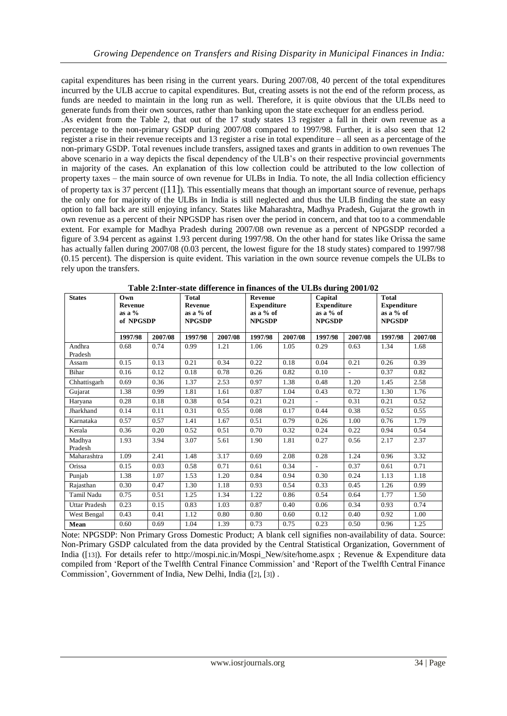capital expenditures has been rising in the current years. During 2007/08, 40 percent of the total expenditures incurred by the ULB accrue to capital expenditures. But, creating assets is not the end of the reform process, as funds are needed to maintain in the long run as well. Therefore, it is quite obvious that the ULBs need to generate funds from their own sources, rather than banking upon the state exchequer for an endless period.

.As evident from the [Table 2,](#page-3-0) that out of the 17 study states 13 register a fall in their own revenue as a percentage to the non-primary GSDP during 2007/08 compared to 1997/98. Further, it is also seen that 12 register a rise in their revenue receipts and 13 register a rise in total expenditure – all seen as a percentage of the non-primary GSDP. Total revenues include transfers, assigned taxes and grants in addition to own revenues The above scenario in a way depicts the fiscal dependency of the ULB's on their respective provincial governments in majority of the cases. An explanation of this low collection could be attributed to the low collection of property taxes – the main source of own revenue for ULBs in India. To note, the all India collection efficiency of property tax is 37 percent  $([11])$  $([11])$  $([11])$ . This essentially means that though an important source of revenue, perhaps the only one for majority of the ULBs in India is still neglected and thus the ULB finding the state an easy option to fall back are still enjoying infancy. States like Maharashtra, Madhya Pradesh, Gujarat the growth in own revenue as a percent of their NPGSDP has risen over the period in concern, and that too to a commendable extent. For example for Madhya Pradesh during 2007/08 own revenue as a percent of NPGSDP recorded a figure of 3.94 percent as against 1.93 percent during 1997/98. On the other hand for states like Orissa the same has actually fallen during 2007/08 (0.03 percent, the lowest figure for the 18 study states) compared to 1997/98 (0.15 percent). The dispersion is quite evident. This variation in the own source revenue compels the ULBs to rely upon the transfers.

<span id="page-3-0"></span>

| <b>States</b>        | Own<br><b>Revenue</b><br>as a $%$<br>of NPGSDP |         | <b>Total</b><br>Revenue<br>as a $%$ of<br><b>NPGSDP</b> |         | Revenue<br><b>Expenditure</b><br>as a % of<br><b>NPGSDP</b> |         | Capital<br><b>Expenditure</b><br>as a $%$ of<br><b>NPGSDP</b> |                          | <b>Total</b><br><b>Expenditure</b><br>as a $%$ of<br><b>NPGSDP</b> |         |
|----------------------|------------------------------------------------|---------|---------------------------------------------------------|---------|-------------------------------------------------------------|---------|---------------------------------------------------------------|--------------------------|--------------------------------------------------------------------|---------|
|                      | 1997/98                                        | 2007/08 | 1997/98                                                 | 2007/08 | 1997/98                                                     | 2007/08 | 1997/98                                                       | 2007/08                  | 1997/98                                                            | 2007/08 |
| Andhra<br>Pradesh    | 0.68                                           | 0.74    | 0.99                                                    | 1.21    | 1.06                                                        | 1.05    | 0.29                                                          | 0.63                     | 1.34                                                               | 1.68    |
| Assam                | 0.15                                           | 0.13    | 0.21                                                    | 0.34    | 0.22                                                        | 0.18    | 0.04                                                          | 0.21                     | 0.26                                                               | 0.39    |
| Bihar                | 0.16                                           | 0.12    | 0.18                                                    | 0.78    | 0.26                                                        | 0.82    | 0.10                                                          | $\overline{\phantom{a}}$ | 0.37                                                               | 0.82    |
| Chhattisgarh         | 0.69                                           | 0.36    | 1.37                                                    | 2.53    | 0.97                                                        | 1.38    | 0.48                                                          | 1.20                     | 1.45                                                               | 2.58    |
| Gujarat              | 1.38                                           | 0.99    | 1.81                                                    | 1.61    | 0.87                                                        | 1.04    | 0.43                                                          | 0.72                     | 1.30                                                               | 1.76    |
| Haryana              | 0.28                                           | 0.18    | 0.38                                                    | 0.54    | 0.21                                                        | 0.21    | ÷.                                                            | 0.31                     | 0.21                                                               | 0.52    |
| Jharkhand            | 0.14                                           | 0.11    | 0.31                                                    | 0.55    | 0.08                                                        | 0.17    | 0.44                                                          | 0.38                     | 0.52                                                               | 0.55    |
| Karnataka            | 0.57                                           | 0.57    | 1.41                                                    | 1.67    | 0.51                                                        | 0.79    | 0.26                                                          | 1.00                     | 0.76                                                               | 1.79    |
| Kerala               | 0.36                                           | 0.20    | 0.52                                                    | 0.51    | 0.70                                                        | 0.32    | 0.24                                                          | 0.22                     | 0.94                                                               | 0.54    |
| Madhya<br>Pradesh    | 1.93                                           | 3.94    | 3.07                                                    | 5.61    | 1.90                                                        | 1.81    | 0.27                                                          | 0.56                     | 2.17                                                               | 2.37    |
| Maharashtra          | 1.09                                           | 2.41    | 1.48                                                    | 3.17    | 0.69                                                        | 2.08    | 0.28                                                          | 1.24                     | 0.96                                                               | 3.32    |
| Orissa               | 0.15                                           | 0.03    | 0.58                                                    | 0.71    | 0.61                                                        | 0.34    | ÷.                                                            | 0.37                     | 0.61                                                               | 0.71    |
| Punjab               | 1.38                                           | 1.07    | 1.53                                                    | 1.20    | 0.84                                                        | 0.94    | 0.30                                                          | 0.24                     | 1.13                                                               | 1.18    |
| Rajasthan            | 0.30                                           | 0.47    | 1.30                                                    | 1.18    | 0.93                                                        | 0.54    | 0.33                                                          | 0.45                     | 1.26                                                               | 0.99    |
| Tamil Nadu           | 0.75                                           | 0.51    | 1.25                                                    | 1.34    | 1.22                                                        | 0.86    | 0.54                                                          | 0.64                     | 1.77                                                               | 1.50    |
| <b>Uttar Pradesh</b> | 0.23                                           | 0.15    | 0.83                                                    | 1.03    | 0.87                                                        | 0.40    | 0.06                                                          | 0.34                     | 0.93                                                               | 0.74    |
| West Bengal          | 0.43                                           | 0.41    | 1.12                                                    | 0.80    | 0.80                                                        | 0.60    | 0.12                                                          | 0.40                     | 0.92                                                               | 1.00    |
| Mean                 | 0.60                                           | 0.69    | 1.04                                                    | 1.39    | 0.73                                                        | 0.75    | 0.23                                                          | 0.50                     | 0.96                                                               | 1.25    |

**Table 2:Inter-state difference in finances of the ULBs during 2001/02**

Note: NPGSDP: Non Primary Gross Domestic Product; A blank cell signifies non-availability of data. Source: Non-Primary GSDP calculated from the data provided by the Central Statistical Organization, Government of India ([[13\]](#page-10-2)). For details refer to http://mospi.nic.in/Mospi\_New/site/home.aspx ; Revenue & Expenditure data compiled from 'Report of the Twelfth Central Finance Commission' and 'Report of the Twelfth Central Finance Commission', Government of India, New Delhi, India [\(\[](#page-9-1)2][, \[](#page-9-2)3]) .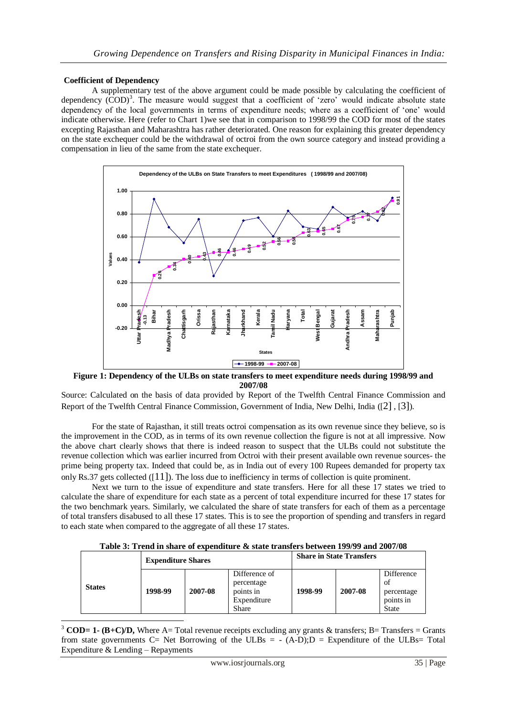### **Coefficient of Dependency**

A supplementary test of the above argument could be made possible by calculating the coefficient of dependency (COD)<sup>3</sup>. The measure would suggest that a coefficient of 'zero' would indicate absolute state dependency of the local governments in terms of expenditure needs; where as a coefficient of 'one' would indicate otherwise. Here (refer to Chart 1)we see that in comparison to 1998/99 the COD for most of the states excepting Rajasthan and Maharashtra has rather deteriorated. One reason for explaining this greater dependency on the state exchequer could be the withdrawal of octroi from the own source category and instead providing a compensation in lieu of the same from the state exchequer.



**Figure 1: Dependency of the ULBs on state transfers to meet expenditure needs during 1998/99 and 2007/08**

Source: Calculated on the basis of data provided by Report of the Twelfth Central Finance Commission and Report of the Twelfth Central Finance Commission, Government of India, New Delhi, India ([[2\]](#page-9-1) , [[3\]](#page-9-2)).

For the state of Rajasthan, it still treats octroi compensation as its own revenue since they believe, so is the improvement in the COD, as in terms of its own revenue collection the figure is not at all impressive. Now the above chart clearly shows that there is indeed reason to suspect that the ULBs could not substitute the revenue collection which was earlier incurred from Octroi with their present available own revenue sources- the prime being property tax. Indeed that could be, as in India out of every 100 Rupees demanded for property tax only Rs.37 gets collected  $([11])$  $([11])$  $([11])$ . The loss due to inefficiency in terms of collection is quite prominent.

Next we turn to the issue of expenditure and state transfers. Here for all these 17 states we tried to calculate the share of expenditure for each state as a percent of total expenditure incurred for these 17 states for the two benchmark years. Similarly, we calculated the share of state transfers for each of them as a percentage of total transfers disabused to all these 17 states. This is to see the proportion of spending and transfers in regard to each state when compared to the aggregate of all these 17 states.

|  | Table 3: Trend in share of expenditure & state transfers between 199/99 and 2007/08 |
|--|-------------------------------------------------------------------------------------|
|--|-------------------------------------------------------------------------------------|

<span id="page-4-0"></span>

|               | <b>Expenditure Shares</b> |         |                                                                         | <b>Share in State Transfers</b> |         |                                                             |
|---------------|---------------------------|---------|-------------------------------------------------------------------------|---------------------------------|---------|-------------------------------------------------------------|
| <b>States</b> | 1998-99                   | 2007-08 | Difference of<br>percentage<br>points in<br>Expenditure<br><b>Share</b> | 1998-99                         | 2007-08 | Difference<br>of<br>percentage<br>points in<br><b>State</b> |

1 <sup>3</sup> **COD= 1-** (B+C)/D, Where A= Total revenue receipts excluding any grants & transfers; B= Transfers = Grants from state governments C= Net Borrowing of the ULBs =  $-(A-D)$ ; D = Expenditure of the ULBs= Total Expenditure & Lending – Repayments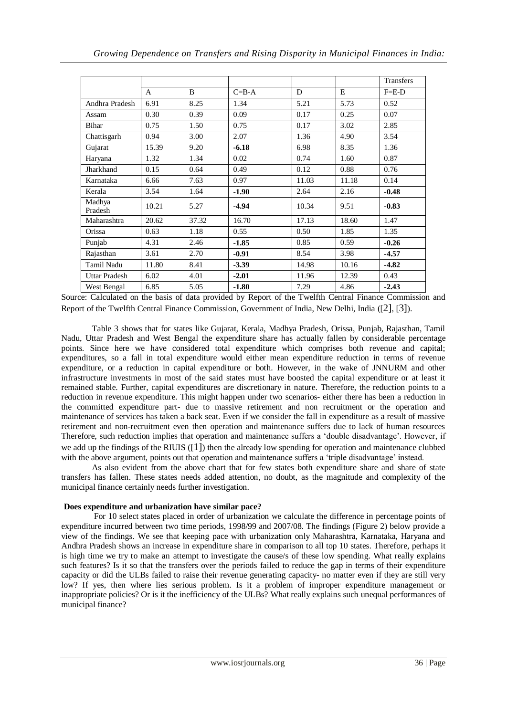|                      |              |              |             |       |       | <b>Transfers</b> |
|----------------------|--------------|--------------|-------------|-------|-------|------------------|
|                      | $\mathsf{A}$ | $\mathbf{B}$ | $C = B - A$ | D     | E     | $F = E-D$        |
| Andhra Pradesh       | 6.91         | 8.25         | 1.34        | 5.21  | 5.73  | 0.52             |
| Assam                | 0.30         | 0.39         | 0.09        | 0.17  | 0.25  | 0.07             |
| Bihar                | 0.75         | 1.50         | 0.75        | 0.17  | 3.02  | 2.85             |
| Chattisgarh          | 0.94         | 3.00         | 2.07        | 1.36  | 4.90  | 3.54             |
| Gujarat              | 15.39        | 9.20         | $-6.18$     | 6.98  | 8.35  | 1.36             |
| Haryana              | 1.32         | 1.34         | 0.02        | 0.74  | 1.60  | 0.87             |
| Jharkhand            | 0.15         | 0.64         | 0.49        | 0.12  | 0.88  | 0.76             |
| Karnataka            | 6.66         | 7.63         | 0.97        | 11.03 | 11.18 | 0.14             |
| Kerala               | 3.54         | 1.64         | $-1.90$     | 2.64  | 2.16  | $-0.48$          |
| Madhya<br>Pradesh    | 10.21        | 5.27         | $-4.94$     | 10.34 | 9.51  | $-0.83$          |
| Maharashtra          | 20.62        | 37.32        | 16.70       | 17.13 | 18.60 | 1.47             |
| Orissa               | 0.63         | 1.18         | 0.55        | 0.50  | 1.85  | 1.35             |
| Punjab               | 4.31         | 2.46         | $-1.85$     | 0.85  | 0.59  | $-0.26$          |
| Rajasthan            | 3.61         | 2.70         | $-0.91$     | 8.54  | 3.98  | $-4.57$          |
| Tamil Nadu           | 11.80        | 8.41         | $-3.39$     | 14.98 | 10.16 | $-4.82$          |
| <b>Uttar Pradesh</b> | 6.02         | 4.01         | $-2.01$     | 11.96 | 12.39 | 0.43             |
| West Bengal          | 6.85         | 5.05         | $-1.80$     | 7.29  | 4.86  | $-2.43$          |

Source: Calculated on the basis of data provided by Report of the Twelfth Central Finance Commission and Report of the Twelfth Central Finance Commission, Government of India, New Delhi, India ([[2\]](#page-9-1), [[3\]](#page-9-2)).

[Table 3](#page-4-0) shows that for states like Gujarat, Kerala, Madhya Pradesh, Orissa, Punjab, Rajasthan, Tamil Nadu, Uttar Pradesh and West Bengal the expenditure share has actually fallen by considerable percentage points. Since here we have considered total expenditure which comprises both revenue and capital; expenditures, so a fall in total expenditure would either mean expenditure reduction in terms of revenue expenditure, or a reduction in capital expenditure or both. However, in the wake of JNNURM and other infrastructure investments in most of the said states must have boosted the capital expenditure or at least it remained stable. Further, capital expenditures are discretionary in nature. Therefore, the reduction points to a reduction in revenue expenditure. This might happen under two scenarios- either there has been a reduction in the committed expenditure part- due to massive retirement and non recruitment or the operation and maintenance of services has taken a back seat. Even if we consider the fall in expenditure as a result of massive retirement and non-recruitment even then operation and maintenance suffers due to lack of human resources Therefore, such reduction implies that operation and maintenance suffers a 'double disadvantage'. However, if we add up the findings of the RIUIS  $([1])$  $([1])$  $([1])$  then the already low spending for operation and maintenance clubbed with the above argument, points out that operation and maintenance suffers a 'triple disadvantage' instead.

As also evident from the above chart that for few states both expenditure share and share of state transfers has fallen. These states needs added attention, no doubt, as the magnitude and complexity of the municipal finance certainly needs further investigation.

### **Does expenditure and urbanization have similar pace?**

For 10 select states placed in order of urbanization we calculate the difference in percentage points of expenditure incurred between two time periods, 1998/99 and 2007/08. The findings [\(Figure 2\)](#page-6-0) below provide a view of the findings. We see that keeping pace with urbanization only Maharashtra, Karnataka, Haryana and Andhra Pradesh shows an increase in expenditure share in comparison to all top 10 states. Therefore, perhaps it is high time we try to make an attempt to investigate the cause/s of these low spending. What really explains such features? Is it so that the transfers over the periods failed to reduce the gap in terms of their expenditure capacity or did the ULBs failed to raise their revenue generating capacity- no matter even if they are still very low? If yes, then where lies serious problem. Is it a problem of improper expenditure management or inappropriate policies? Or is it the inefficiency of the ULBs? What really explains such unequal performances of municipal finance?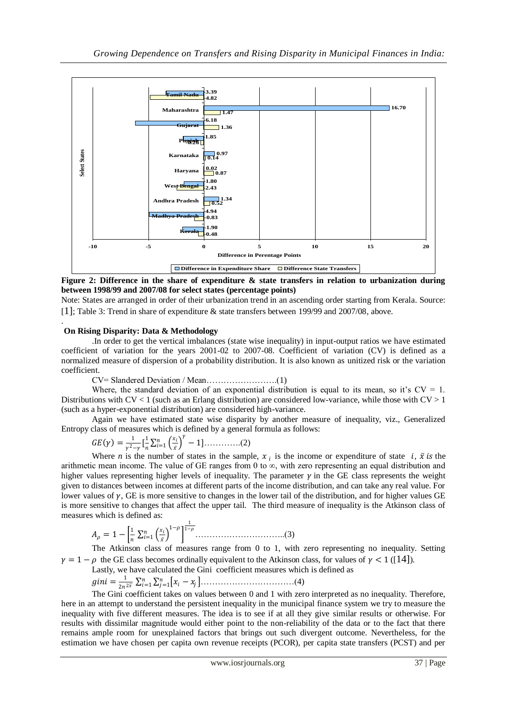

<span id="page-6-0"></span>**Figure 2: Difference in the share of expenditure & state transfers in relation to urbanization during between 1998/99 and 2007/08 for select states (percentage points)**

Note: States are arranged in order of their urbanization trend in an ascending order starting from Kerala. Source: [[1\]](#page-9-0)[; Table 3: Trend in share of expenditure & state transfers between 199/99 and 2007/08,](#page-4-0) above.

#### **On Rising Disparity: Data & Methodology**

.

.In order to get the vertical imbalances (state wise inequality) in input-output ratios we have estimated coefficient of variation for the years 2001-02 to 2007-08. Coefficient of variation (CV) is defined as a normalized measure of dispersion of a probability distribution. It is also known as unitized risk or the variation coefficient.

CV= Slandered Deviation / Mean…………………….(1)

Where, the standard deviation of an exponential distribution is equal to its mean, so it's  $CV = 1$ . Distributions with  $CV < 1$  (such as an Erlang distribution) are considered low-variance, while those with  $CV > 1$ (such as a hyper-exponential distribution) are considered high-variance.

Again we have estimated state wise disparity by another measure of inequality, viz., Generalized Entropy class of measures which is defined by a general formula as follows:

$$
GE(\gamma) = \frac{1}{\gamma^2 - \gamma} \left[ \frac{1}{n} \sum_{i=1}^n \left( \frac{x_i}{\bar{x}} \right)^{\gamma} - 1 \right] \dots \dots \dots (2)
$$

Where *n* is the number of states in the sample,  $x_i$  is the income or expenditure of state *i*,  $\bar{x}$  *is* the arithmetic mean income. The value of GE ranges from 0 to  $\infty$ , with zero representing an equal distribution and higher values representing higher levels of inequality. The parameter  $\gamma$  in the GE class represents the weight given to distances between incomes at different parts of the income distribution, and can take any real value. For lower values of  $\gamma$ , GE is more sensitive to changes in the lower tail of the distribution, and for higher values GE is more sensitive to changes that affect the upper tail. The third measure of inequality is the Atkinson class of measures which is defined as:

 = 1 − 1 1− =1 1 1− …………………………..(3)

The Atkinson class of measures range from 0 to 1, with zero representing no inequality. Setting  $\gamma = 1 - \rho$  the GE class becomes ordinally equivalent to the Atkinson class, for values of  $\gamma < 1$  ([[14\]](#page-10-3)).

Lastly, we have calculated the Gini coefficient measures which is defined as

 = 1 2 <sup>2</sup> − =1 =1 ……………………………(4)

The Gini coefficient takes on values between 0 and 1 with zero interpreted as no inequality. Therefore, here in an attempt to understand the persistent inequality in the municipal finance system we try to measure the inequality with five different measures. The idea is to see if at all they give similar results or otherwise. For results with dissimilar magnitude would either point to the non-reliability of the data or to the fact that there remains ample room for unexplained factors that brings out such divergent outcome. Nevertheless, for the estimation we have chosen per capita own revenue receipts (PCOR), per capita state transfers (PCST) and per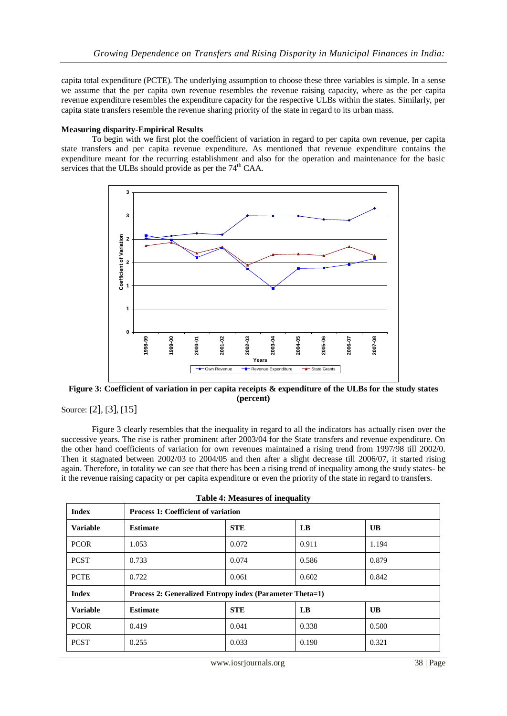capita total expenditure (PCTE). The underlying assumption to choose these three variables is simple. In a sense we assume that the per capita own revenue resembles the revenue raising capacity, where as the per capita revenue expenditure resembles the expenditure capacity for the respective ULBs within the states. Similarly, per capita state transfers resemble the revenue sharing priority of the state in regard to its urban mass.

#### **Measuring disparity-Empirical Results**

To begin with we first plot the coefficient of variation in regard to per capita own revenue, per capita state transfers and per capita revenue expenditure. As mentioned that revenue expenditure contains the expenditure meant for the recurring establishment and also for the operation and maintenance for the basic services that the ULBs should provide as per the 74<sup>th</sup> CAA.



<span id="page-7-0"></span>**Figure 3: Coefficient of variation in per capita receipts & expenditure of the ULBs for the study states (percent)**

Source: [[2\]](#page-9-1), [[3\]](#page-9-2), [[15\]](#page-10-4)

[Figure 3](#page-7-0) clearly resembles that the inequality in regard to all the indicators has actually risen over the successive years. The rise is rather prominent after 2003/04 for the State transfers and revenue expenditure. On the other hand coefficients of variation for own revenues maintained a rising trend from 1997/98 till 2002/0. Then it stagnated between 2002/03 to 2004/05 and then after a slight decrease till 2006/07, it started rising again. Therefore, in totality we can see that there has been a rising trend of inequality among the study states- be it the revenue raising capacity or per capita expenditure or even the priority of the state in regard to transfers.

<span id="page-7-1"></span>

| <b>Index</b>    | <b>Process 1: Coefficient of variation</b>               |            |                        |                 |  |  |
|-----------------|----------------------------------------------------------|------------|------------------------|-----------------|--|--|
| <b>Variable</b> | <b>Estimate</b>                                          | <b>STE</b> | $\mathbf{LB}$          | $\overline{UB}$ |  |  |
| <b>PCOR</b>     | 1.053                                                    | 0.072      | 0.911                  | 1.194           |  |  |
| <b>PCST</b>     | 0.733                                                    | 0.074      | 0.586                  | 0.879           |  |  |
| <b>PCTE</b>     | 0.722                                                    | 0.061      | 0.602                  | 0.842           |  |  |
| <b>Index</b>    | Process 2: Generalized Entropy index (Parameter Theta=1) |            |                        |                 |  |  |
| <b>Variable</b> | <b>Estimate</b>                                          | <b>STE</b> | $\mathbf{L}\mathbf{B}$ | <b>UB</b>       |  |  |
| <b>PCOR</b>     | 0.419                                                    | 0.041      | 0.338                  | 0.500           |  |  |
| <b>PCST</b>     | 0.255                                                    | 0.033      | 0.190                  | 0.321           |  |  |

|  | <b>Table 4: Measures of inequality</b> |
|--|----------------------------------------|
|  |                                        |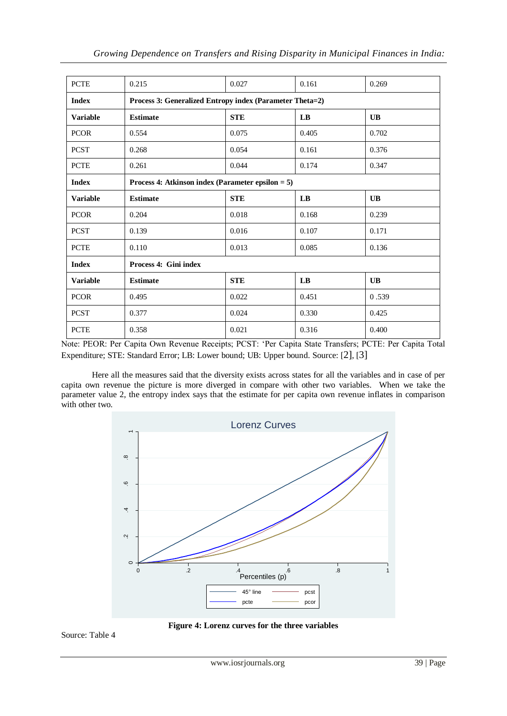| <b>PCTE</b>     | 0.215                                                    | 0.027      | 0.161 | 0.269     |  |  |
|-----------------|----------------------------------------------------------|------------|-------|-----------|--|--|
| <b>Index</b>    | Process 3: Generalized Entropy index (Parameter Theta=2) |            |       |           |  |  |
| <b>Variable</b> | <b>STE</b><br><b>UB</b><br><b>Estimate</b><br>LB         |            |       |           |  |  |
| <b>PCOR</b>     | 0.554                                                    | 0.075      | 0.405 | 0.702     |  |  |
| <b>PCST</b>     | 0.268                                                    | 0.054      | 0.161 | 0.376     |  |  |
| <b>PCTE</b>     | 0.261                                                    | 0.044      | 0.174 | 0.347     |  |  |
| <b>Index</b>    | Process 4: Atkinson index (Parameter epsilon $= 5$ )     |            |       |           |  |  |
| <b>Variable</b> | <b>Estimate</b>                                          | <b>STE</b> | LB    | <b>UB</b> |  |  |
| <b>PCOR</b>     | 0.204                                                    | 0.018      | 0.168 | 0.239     |  |  |
| <b>PCST</b>     | 0.139                                                    | 0.016      | 0.107 | 0.171     |  |  |
| <b>PCTE</b>     | 0.110                                                    | 0.013      | 0.085 | 0.136     |  |  |
| <b>Index</b>    | Process 4: Gini index                                    |            |       |           |  |  |
| <b>Variable</b> | <b>Estimate</b>                                          | <b>STE</b> | LB    | <b>UB</b> |  |  |
| <b>PCOR</b>     | 0.495                                                    | 0.022      | 0.451 | 0.539     |  |  |
| <b>PCST</b>     | 0.377                                                    | 0.024      | 0.330 | 0.425     |  |  |
| <b>PCTE</b>     | 0.358                                                    | 0.021      | 0.316 | 0.400     |  |  |

Note: PEOR: Per Capita Own Revenue Receipts; PCST: 'Per Capita State Transfers; PCTE: Per Capita Total Expenditure; STE: Standard Error; LB: Lower bound; UB: Upper bound. Source: [[2\]](#page-9-1), [[3\]](#page-9-2)

Here all the measures said that the diversity exists across states for all the variables and in case of per capita own revenue the picture is more diverged in compare with other two variables. When we take the parameter value 2, the entropy index says that the estimate for per capita own revenue inflates in comparison with other two.



**Figure 4: Lorenz curves for the three variables**

<span id="page-8-0"></span>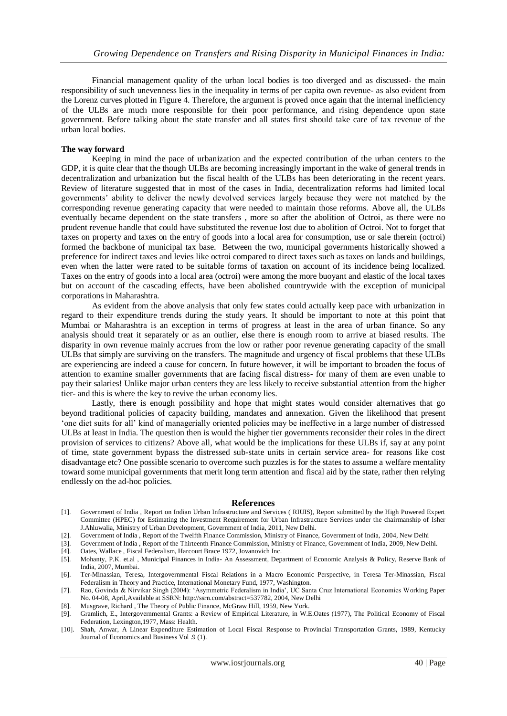Financial management quality of the urban local bodies is too diverged and as discussed- the main responsibility of such unevenness lies in the inequality in terms of per capita own revenue- as also evident from the Lorenz curves plotted in [Figure 4.](#page-8-0) Therefore, the argument is proved once again that the internal inefficiency of the ULBs are much more responsible for their poor performance, and rising dependence upon state government. Before talking about the state transfer and all states first should take care of tax revenue of the urban local bodies.

### **The way forward**

Keeping in mind the pace of urbanization and the expected contribution of the urban centers to the GDP, it is quite clear that the though ULBs are becoming increasingly important in the wake of general trends in decentralization and urbanization but the fiscal health of the ULBs has been deteriorating in the recent years. Review of literature suggested that in most of the cases in India, decentralization reforms had limited local governments' ability to deliver the newly devolved services largely because they were not matched by the corresponding revenue generating capacity that were needed to maintain those reforms. Above all, the ULBs eventually became dependent on the state transfers , more so after the abolition of Octroi, as there were no prudent revenue handle that could have substituted the revenue lost due to abolition of Octroi. Not to forget that taxes on property and taxes on the entry of goods into a local area for consumption, use or sale therein (octroi) formed the backbone of municipal tax base. Between the two, municipal governments historically showed a preference for indirect taxes and levies like octroi compared to direct taxes such as taxes on lands and buildings, even when the latter were rated to be suitable forms of taxation on account of its incidence being localized. Taxes on the entry of goods into a local area (octroi) were among the more buoyant and elastic of the local taxes but on account of the cascading effects, have been abolished countrywide with the exception of municipal corporations in Maharashtra.

As evident from the above analysis that only few states could actually keep pace with urbanization in regard to their expenditure trends during the study years. It should be important to note at this point that Mumbai or Maharashtra is an exception in terms of progress at least in the area of urban finance. So any analysis should treat it separately or as an outlier, else there is enough room to arrive at biased results. The disparity in own revenue mainly accrues from the low or rather poor revenue generating capacity of the small ULBs that simply are surviving on the transfers. The magnitude and urgency of fiscal problems that these ULBs are experiencing are indeed a cause for concern. In future however, it will be important to broaden the focus of attention to examine smaller governments that are facing fiscal distress- for many of them are even unable to pay their salaries! Unlike major urban centers they are less likely to receive substantial attention from the higher tier- and this is where the key to revive the urban economy lies.

Lastly, there is enough possibility and hope that might states would consider alternatives that go beyond traditional policies of capacity building, mandates and annexation. Given the likelihood that present 'one diet suits for all' kind of managerially oriented policies may be ineffective in a large number of distressed ULBs at least in India. The question then is would the higher tier governments reconsider their roles in the direct provision of services to citizens? Above all, what would be the implications for these ULBs if, say at any point of time, state government bypass the distressed sub-state units in certain service area- for reasons like cost disadvantage etc? One possible scenario to overcome such puzzles is for the states to assume a welfare mentality toward some municipal governments that merit long term attention and fiscal aid by the state, rather then relying endlessly on the ad-hoc policies.

#### **References**

- <span id="page-9-0"></span>[1]. Government of India , Report on Indian Urban Infrastructure and Services ( RIUIS), Report submitted by the High Powered Expert Committee (HPEC) for Estimating the Investment Requirement for Urban Infrastructure Services under the chairmanship of Isher J.Ahluwalia, Ministry of Urban Development, Government of India, 2011, New Delhi.
- <span id="page-9-1"></span>[2]. Government of India , Report of the Twelfth Finance Commission, Ministry of Finance, Government of India, 2004, New Delhi
- <span id="page-9-2"></span>[3]. Government of India, Report of the Thirteenth Finance Commission, Ministry of Finance, Government of India, 2009, New Delhi. [4]. Oates, Wallace, Fiscal Federalism, Harcourt Brace 1972, Jovanovich Inc.
- <span id="page-9-3"></span>[4]. Oates, Wallace , Fiscal Federalism, Harcourt Brace 1972, Jovanovich Inc.
- <span id="page-9-4"></span>[5]. Mohanty, P.K. et.al , Municipal Finances in India- An Assessment, Department of Economic Analysis & Policy, Reserve Bank of India, 2007, Mumbai.
- <span id="page-9-5"></span>[6]. Ter-Minassian, Teresa, Intergovernmental Fiscal Relations in a Macro Economic Perspective, in Teresa Ter-Minassian, Fiscal Federalism in Theory and Practice, International Monetary Fund, 1977, Washington.
- <span id="page-9-6"></span>[7]. Rao, Govinda & Nirvikar Singh (2004): 'Asymmetric Federalism in India', UC Santa Cruz International Economics Working Paper No. 04-08, April,Available at SSRN: http://ssrn.com/abstract=537782, 2004, New Delhi
- <span id="page-9-7"></span>[8]. Musgrave, Richard , The Theory of Public Finance, McGraw Hill, 1959, New York.
- <span id="page-9-8"></span>[9]. Gramlich, E., Intergovernmental Grants: a Review of Empirical Literature, in W.E.Oates (1977), The Political Economy of Fiscal Federation, Lexington,1977, Mass: Health.
- <span id="page-9-9"></span>[10]. Shah, Anwar, A Linear Expenditure Estimation of Local Fiscal Response to Provincial Transportation Grants, 1989, Kentucky Journal of Economics and Business Vol .9 (1).